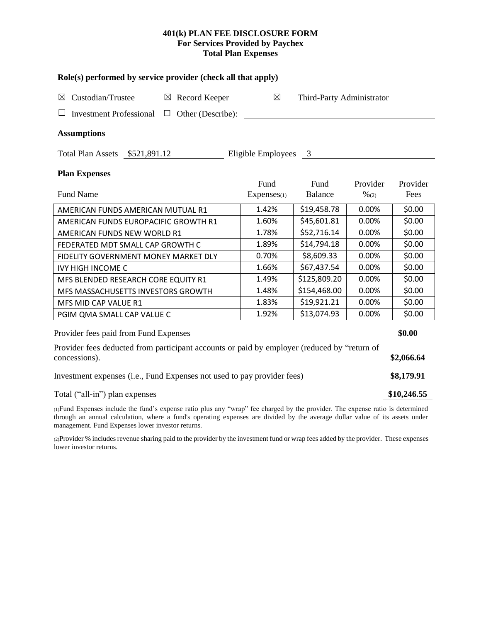## **401(k) PLAN FEE DISCLOSURE FORM For Services Provided by Paychex Total Plan Expenses**

| Role(s) performed by service provider (check all that apply)                                                                    |       |                      |                           |                  |            |  |  |  |
|---------------------------------------------------------------------------------------------------------------------------------|-------|----------------------|---------------------------|------------------|------------|--|--|--|
| Custodian/Trustee<br>$\boxtimes$ Record Keeper<br>$\boxtimes$                                                                   |       | $\boxtimes$          | Third-Party Administrator |                  |            |  |  |  |
| <b>Investment Professional</b><br>Other (Describe):<br>$\Box$                                                                   |       |                      |                           |                  |            |  |  |  |
| <b>Assumptions</b>                                                                                                              |       |                      |                           |                  |            |  |  |  |
| Total Plan Assets \$521,891.12                                                                                                  |       | Eligible Employees 3 |                           |                  |            |  |  |  |
| <b>Plan Expenses</b>                                                                                                            |       |                      |                           |                  |            |  |  |  |
|                                                                                                                                 |       | Fund                 | Fund                      | Provider         | Provider   |  |  |  |
| <b>Fund Name</b>                                                                                                                |       | $Express_{(1)}$      | <b>Balance</b>            | $\frac{9}{6(2)}$ | Fees       |  |  |  |
| AMERICAN FUNDS AMERICAN MUTUAL R1                                                                                               |       | 1.42%                | \$19,458.78               | 0.00%            | \$0.00     |  |  |  |
| AMERICAN FUNDS EUROPACIFIC GROWTH R1                                                                                            |       | 1.60%                | \$45,601.81               | 0.00%            | \$0.00     |  |  |  |
| AMERICAN FUNDS NEW WORLD R1                                                                                                     |       | 1.78%                | \$52,716.14               | 0.00%            | \$0.00     |  |  |  |
| FEDERATED MDT SMALL CAP GROWTH C                                                                                                | 1.89% | \$14,794.18          | 0.00%                     | \$0.00           |            |  |  |  |
| FIDELITY GOVERNMENT MONEY MARKET DLY                                                                                            | 0.70% | \$8,609.33           | 0.00%                     | \$0.00           |            |  |  |  |
| <b>IVY HIGH INCOME C</b>                                                                                                        | 1.66% | \$67,437.54          | 0.00%                     | \$0.00           |            |  |  |  |
| MFS BLENDED RESEARCH CORE EQUITY R1                                                                                             |       | 1.49%                | \$125,809.20              | 0.00%            | \$0.00     |  |  |  |
| MFS MASSACHUSETTS INVESTORS GROWTH                                                                                              |       | 1.48%                | \$154,468.00              | 0.00%            | \$0.00     |  |  |  |
| MFS MID CAP VALUE R1                                                                                                            |       | 1.83%                | \$19,921.21               | 0.00%            | \$0.00     |  |  |  |
| PGIM QMA SMALL CAP VALUE C                                                                                                      |       | 1.92%                | \$13,074.93               | 0.00%            | \$0.00     |  |  |  |
| Provider fees paid from Fund Expenses                                                                                           |       |                      |                           |                  | \$0.00     |  |  |  |
| Provider fees deducted from participant accounts or paid by employer (reduced by "return of<br>concessions).                    |       |                      |                           |                  |            |  |  |  |
| Investment expenses (i.e., Fund Expenses not used to pay provider fees)                                                         |       |                      |                           |                  | \$8,179.91 |  |  |  |
| Total ("all-in") plan expenses                                                                                                  |       |                      |                           |                  |            |  |  |  |
| (1) Fund Expenses include the fund's expense ratio plus any "wrap" fee charged by the provider. The expense ratio is determined |       |                      |                           |                  |            |  |  |  |

through an annual calculation, where a fund's operating expenses are divided by the average dollar value of its assets under management. Fund Expenses lower investor returns.

(2)Provider % includes revenue sharing paid to the provider by the investment fund or wrap fees added by the provider. These expenses lower investor returns.